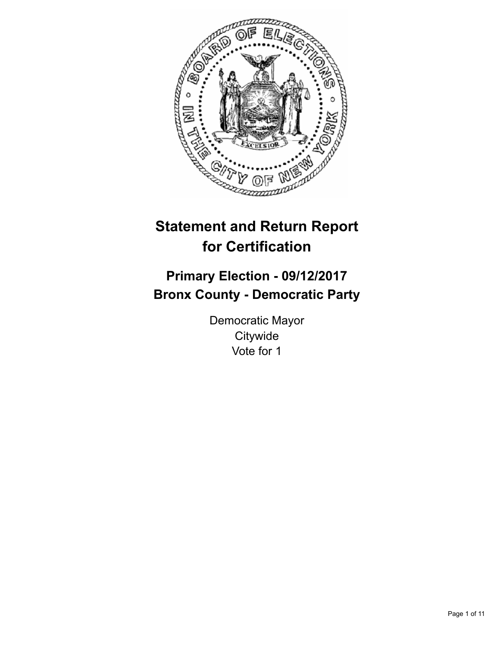

# **Statement and Return Report for Certification**

## **Primary Election - 09/12/2017 Bronx County - Democratic Party**

Democratic Mayor **Citywide** Vote for 1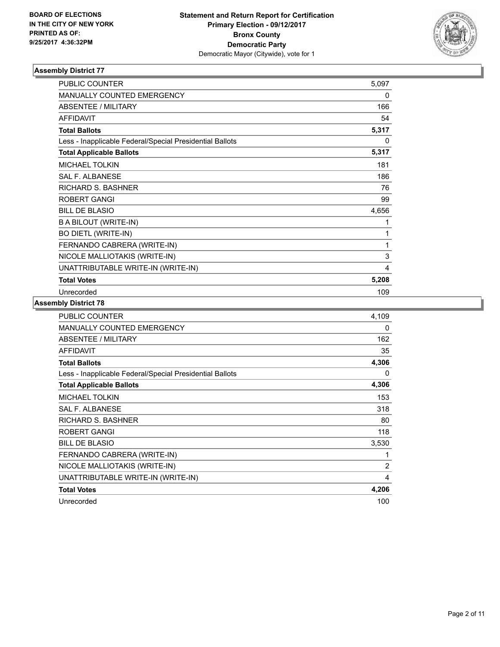

| <b>PUBLIC COUNTER</b>                                    | 5,097    |
|----------------------------------------------------------|----------|
| <b>MANUALLY COUNTED EMERGENCY</b>                        | $\Omega$ |
| <b>ABSENTEE / MILITARY</b>                               | 166      |
| <b>AFFIDAVIT</b>                                         | 54       |
| <b>Total Ballots</b>                                     | 5,317    |
| Less - Inapplicable Federal/Special Presidential Ballots | 0        |
| <b>Total Applicable Ballots</b>                          | 5,317    |
| <b>MICHAEL TOLKIN</b>                                    | 181      |
| <b>SAL F. ALBANESE</b>                                   | 186      |
| RICHARD S. BASHNER                                       | 76       |
| <b>ROBERT GANGI</b>                                      | 99       |
| <b>BILL DE BLASIO</b>                                    | 4,656    |
| <b>BABILOUT (WRITE-IN)</b>                               | 1        |
| <b>BO DIETL (WRITE-IN)</b>                               | 1        |
| FERNANDO CABRERA (WRITE-IN)                              | 1        |
| NICOLE MALLIOTAKIS (WRITE-IN)                            | 3        |
| UNATTRIBUTABLE WRITE-IN (WRITE-IN)                       | 4        |
| <b>Total Votes</b>                                       | 5,208    |
| Unrecorded                                               | 109      |

| <b>PUBLIC COUNTER</b>                                    | 4.109 |
|----------------------------------------------------------|-------|
| <b>MANUALLY COUNTED EMERGENCY</b>                        | 0     |
| <b>ABSENTEE / MILITARY</b>                               | 162   |
| <b>AFFIDAVIT</b>                                         | 35    |
| <b>Total Ballots</b>                                     | 4,306 |
| Less - Inapplicable Federal/Special Presidential Ballots | 0     |
| <b>Total Applicable Ballots</b>                          | 4,306 |
| <b>MICHAEL TOLKIN</b>                                    | 153   |
| <b>SAL F. ALBANESE</b>                                   | 318   |
| <b>RICHARD S. BASHNER</b>                                | 80    |
| ROBERT GANGI                                             | 118   |
| <b>BILL DE BLASIO</b>                                    | 3,530 |
| FERNANDO CABRERA (WRITE-IN)                              | 1     |
| NICOLE MALLIOTAKIS (WRITE-IN)                            | 2     |
| UNATTRIBUTABLE WRITE-IN (WRITE-IN)                       | 4     |
| <b>Total Votes</b>                                       | 4,206 |
| Unrecorded                                               | 100   |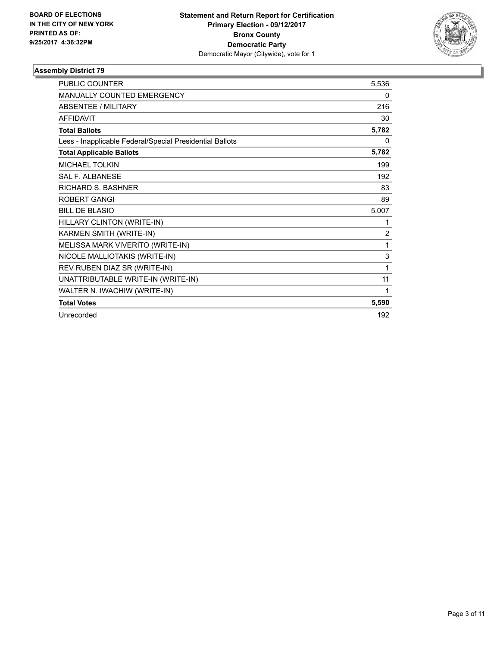

| <b>PUBLIC COUNTER</b>                                    | 5,536          |
|----------------------------------------------------------|----------------|
| <b>MANUALLY COUNTED EMERGENCY</b>                        | 0              |
| <b>ABSENTEE / MILITARY</b>                               | 216            |
| <b>AFFIDAVIT</b>                                         | 30             |
| <b>Total Ballots</b>                                     | 5,782          |
| Less - Inapplicable Federal/Special Presidential Ballots | 0              |
| <b>Total Applicable Ballots</b>                          | 5,782          |
| <b>MICHAEL TOLKIN</b>                                    | 199            |
| <b>SAL F. ALBANESE</b>                                   | 192            |
| RICHARD S. BASHNER                                       | 83             |
| <b>ROBERT GANGI</b>                                      | 89             |
| <b>BILL DE BLASIO</b>                                    | 5,007          |
| HILLARY CLINTON (WRITE-IN)                               | 1              |
| KARMEN SMITH (WRITE-IN)                                  | $\overline{2}$ |
| MELISSA MARK VIVERITO (WRITE-IN)                         | 1              |
| NICOLE MALLIOTAKIS (WRITE-IN)                            | 3              |
| REV RUBEN DIAZ SR (WRITE-IN)                             | 1              |
| UNATTRIBUTABLE WRITE-IN (WRITE-IN)                       | 11             |
| WALTER N. IWACHIW (WRITE-IN)                             | 1              |
| <b>Total Votes</b>                                       | 5,590          |
| Unrecorded                                               | 192            |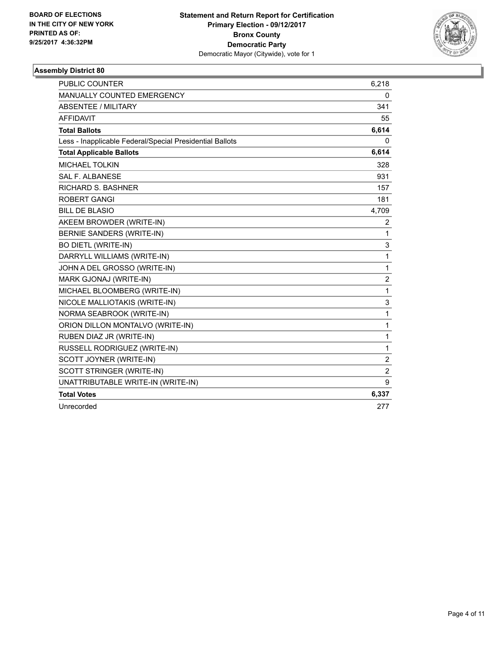

| <b>PUBLIC COUNTER</b>                                    | 6,218          |
|----------------------------------------------------------|----------------|
| MANUALLY COUNTED EMERGENCY                               | 0              |
| ABSENTEE / MILITARY                                      | 341            |
| <b>AFFIDAVIT</b>                                         | 55             |
| <b>Total Ballots</b>                                     | 6,614          |
| Less - Inapplicable Federal/Special Presidential Ballots | 0              |
| <b>Total Applicable Ballots</b>                          | 6,614          |
| <b>MICHAEL TOLKIN</b>                                    | 328            |
| <b>SAL F. ALBANESE</b>                                   | 931            |
| <b>RICHARD S. BASHNER</b>                                | 157            |
| <b>ROBERT GANGI</b>                                      | 181            |
| <b>BILL DE BLASIO</b>                                    | 4,709          |
| AKEEM BROWDER (WRITE-IN)                                 | 2              |
| BERNIE SANDERS (WRITE-IN)                                | 1              |
| <b>BO DIETL (WRITE-IN)</b>                               | 3              |
| DARRYLL WILLIAMS (WRITE-IN)                              | 1              |
| JOHN A DEL GROSSO (WRITE-IN)                             | 1              |
| MARK GJONAJ (WRITE-IN)                                   | 2              |
| MICHAEL BLOOMBERG (WRITE-IN)                             | 1              |
| NICOLE MALLIOTAKIS (WRITE-IN)                            | 3              |
| NORMA SEABROOK (WRITE-IN)                                | 1              |
| ORION DILLON MONTALVO (WRITE-IN)                         | 1              |
| RUBEN DIAZ JR (WRITE-IN)                                 | 1              |
| RUSSELL RODRIGUEZ (WRITE-IN)                             | 1              |
| SCOTT JOYNER (WRITE-IN)                                  | $\overline{2}$ |
| SCOTT STRINGER (WRITE-IN)                                | $\overline{2}$ |
| UNATTRIBUTABLE WRITE-IN (WRITE-IN)                       | 9              |
| <b>Total Votes</b>                                       | 6,337          |
| Unrecorded                                               | 277            |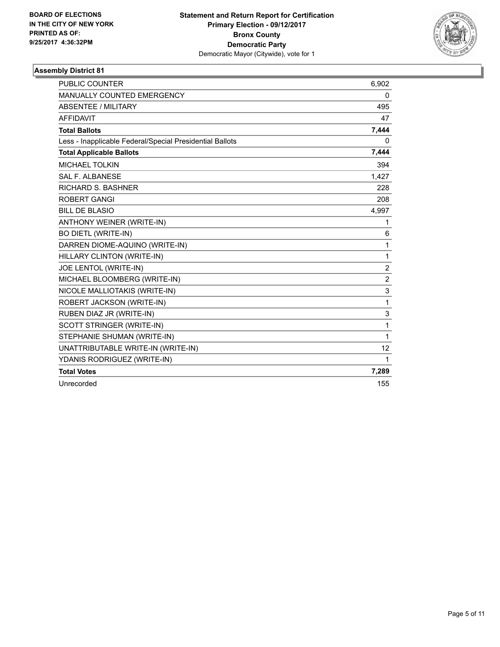

| <b>PUBLIC COUNTER</b>                                    | 6,902          |
|----------------------------------------------------------|----------------|
| <b>MANUALLY COUNTED EMERGENCY</b>                        | 0              |
| <b>ABSENTEE / MILITARY</b>                               | 495            |
| <b>AFFIDAVIT</b>                                         | 47             |
| <b>Total Ballots</b>                                     | 7,444          |
| Less - Inapplicable Federal/Special Presidential Ballots | 0              |
| <b>Total Applicable Ballots</b>                          | 7,444          |
| <b>MICHAEL TOLKIN</b>                                    | 394            |
| <b>SAL F. ALBANESE</b>                                   | 1,427          |
| <b>RICHARD S. BASHNER</b>                                | 228            |
| <b>ROBERT GANGI</b>                                      | 208            |
| <b>BILL DE BLASIO</b>                                    | 4,997          |
| ANTHONY WEINER (WRITE-IN)                                | 1              |
| <b>BO DIETL (WRITE-IN)</b>                               | 6              |
| DARREN DIOME-AQUINO (WRITE-IN)                           | 1              |
| HILLARY CLINTON (WRITE-IN)                               | 1              |
| JOE LENTOL (WRITE-IN)                                    | $\overline{2}$ |
| MICHAEL BLOOMBERG (WRITE-IN)                             | $\overline{2}$ |
| NICOLE MALLIOTAKIS (WRITE-IN)                            | 3              |
| ROBERT JACKSON (WRITE-IN)                                | 1              |
| RUBEN DIAZ JR (WRITE-IN)                                 | 3              |
| SCOTT STRINGER (WRITE-IN)                                | 1              |
| STEPHANIE SHUMAN (WRITE-IN)                              | 1              |
| UNATTRIBUTABLE WRITE-IN (WRITE-IN)                       | 12             |
| YDANIS RODRIGUEZ (WRITE-IN)                              | 1              |
| <b>Total Votes</b>                                       | 7,289          |
| Unrecorded                                               | 155            |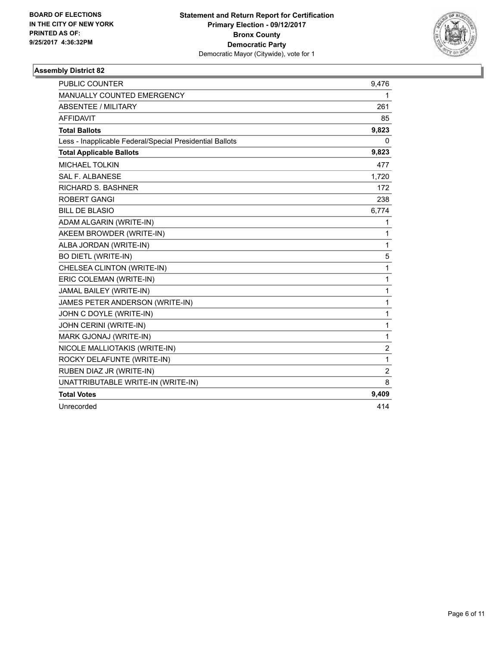

| <b>PUBLIC COUNTER</b>                                    | 9,476          |
|----------------------------------------------------------|----------------|
| MANUALLY COUNTED EMERGENCY                               | 1              |
| ABSENTEE / MILITARY                                      | 261            |
| <b>AFFIDAVIT</b>                                         | 85             |
| <b>Total Ballots</b>                                     | 9,823          |
| Less - Inapplicable Federal/Special Presidential Ballots | 0              |
| <b>Total Applicable Ballots</b>                          | 9,823          |
| <b>MICHAEL TOLKIN</b>                                    | 477            |
| <b>SAL F. ALBANESE</b>                                   | 1,720          |
| <b>RICHARD S. BASHNER</b>                                | 172            |
| <b>ROBERT GANGI</b>                                      | 238            |
| <b>BILL DE BLASIO</b>                                    | 6,774          |
| ADAM ALGARIN (WRITE-IN)                                  | 1              |
| AKEEM BROWDER (WRITE-IN)                                 | 1              |
| ALBA JORDAN (WRITE-IN)                                   | 1              |
| <b>BO DIETL (WRITE-IN)</b>                               | 5              |
| CHELSEA CLINTON (WRITE-IN)                               | 1              |
| ERIC COLEMAN (WRITE-IN)                                  | $\mathbf{1}$   |
| JAMAL BAILEY (WRITE-IN)                                  | $\mathbf{1}$   |
| JAMES PETER ANDERSON (WRITE-IN)                          | $\mathbf{1}$   |
| JOHN C DOYLE (WRITE-IN)                                  | $\mathbf{1}$   |
| JOHN CERINI (WRITE-IN)                                   | 1              |
| MARK GJONAJ (WRITE-IN)                                   | $\mathbf{1}$   |
| NICOLE MALLIOTAKIS (WRITE-IN)                            | $\overline{2}$ |
| ROCKY DELAFUNTE (WRITE-IN)                               | $\mathbf{1}$   |
| RUBEN DIAZ JR (WRITE-IN)                                 | $\overline{2}$ |
| UNATTRIBUTABLE WRITE-IN (WRITE-IN)                       | 8              |
| <b>Total Votes</b>                                       | 9,409          |
| Unrecorded                                               | 414            |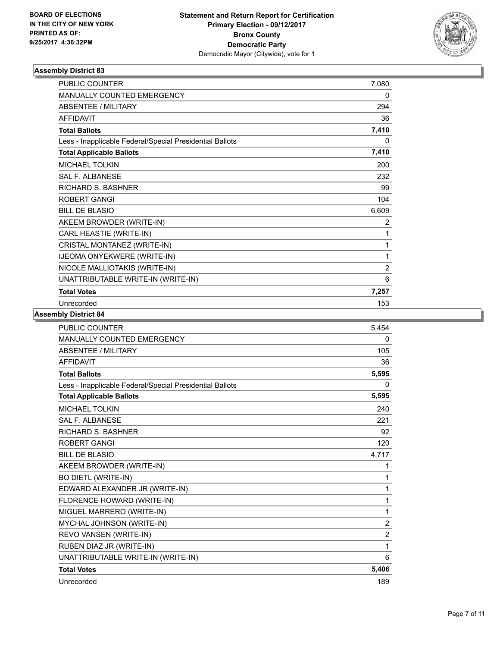

| <b>PUBLIC COUNTER</b>                                    | 7,080          |
|----------------------------------------------------------|----------------|
| MANUALLY COUNTED EMERGENCY                               | 0              |
| <b>ABSENTEE / MILITARY</b>                               | 294            |
| <b>AFFIDAVIT</b>                                         | 36             |
| <b>Total Ballots</b>                                     | 7,410          |
| Less - Inapplicable Federal/Special Presidential Ballots | 0              |
| <b>Total Applicable Ballots</b>                          | 7,410          |
| <b>MICHAEL TOLKIN</b>                                    | 200            |
| <b>SAL F. ALBANESE</b>                                   | 232            |
| <b>RICHARD S. BASHNER</b>                                | 99             |
| <b>ROBERT GANGI</b>                                      | 104            |
| <b>BILL DE BLASIO</b>                                    | 6,609          |
| AKEEM BROWDER (WRITE-IN)                                 | 2              |
| CARL HEASTIE (WRITE-IN)                                  | 1              |
| CRISTAL MONTANEZ (WRITE-IN)                              | 1              |
| IJEOMA ONYEKWERE (WRITE-IN)                              | 1              |
| NICOLE MALLIOTAKIS (WRITE-IN)                            | $\overline{2}$ |
| UNATTRIBUTABLE WRITE-IN (WRITE-IN)                       | 6              |
| <b>Total Votes</b>                                       | 7,257          |
| Unrecorded                                               | 153            |

| <b>PUBLIC COUNTER</b>                                    | 5,454          |
|----------------------------------------------------------|----------------|
| <b>MANUALLY COUNTED EMERGENCY</b>                        | 0              |
| <b>ABSENTEE / MILITARY</b>                               | 105            |
| <b>AFFIDAVIT</b>                                         | 36             |
| <b>Total Ballots</b>                                     | 5,595          |
| Less - Inapplicable Federal/Special Presidential Ballots | 0              |
| <b>Total Applicable Ballots</b>                          | 5,595          |
| <b>MICHAEL TOLKIN</b>                                    | 240            |
| <b>SAL F. ALBANESE</b>                                   | 221            |
| RICHARD S. BASHNER                                       | 92             |
| <b>ROBERT GANGI</b>                                      | 120            |
| <b>BILL DE BLASIO</b>                                    | 4,717          |
| AKEEM BROWDER (WRITE-IN)                                 | 1              |
| <b>BO DIETL (WRITE-IN)</b>                               | 1              |
| EDWARD ALEXANDER JR (WRITE-IN)                           | 1              |
| FLORENCE HOWARD (WRITE-IN)                               | 1              |
| MIGUEL MARRERO (WRITE-IN)                                | 1              |
| MYCHAL JOHNSON (WRITE-IN)                                | $\overline{2}$ |
| REVO VANSEN (WRITE-IN)                                   | $\overline{2}$ |
| RUBEN DIAZ JR (WRITE-IN)                                 | 1              |
| UNATTRIBUTABLE WRITE-IN (WRITE-IN)                       | 6              |
| <b>Total Votes</b>                                       | 5,406          |
| Unrecorded                                               | 189            |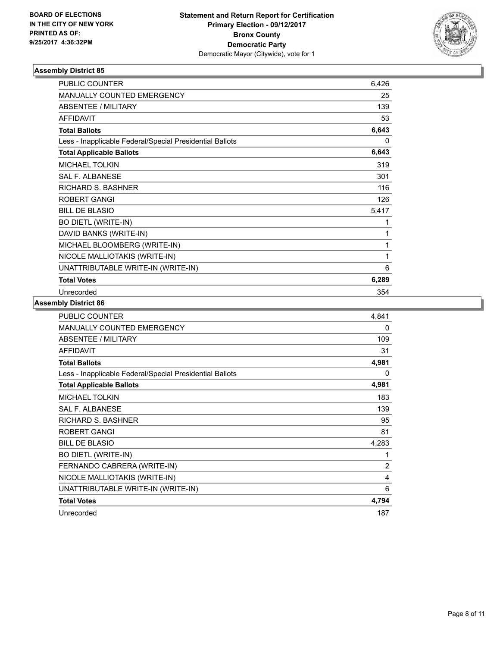

| <b>PUBLIC COUNTER</b>                                    | 6,426 |
|----------------------------------------------------------|-------|
| <b>MANUALLY COUNTED EMERGENCY</b>                        | 25    |
| <b>ABSENTEE / MILITARY</b>                               | 139   |
| <b>AFFIDAVIT</b>                                         | 53    |
| <b>Total Ballots</b>                                     | 6,643 |
| Less - Inapplicable Federal/Special Presidential Ballots | 0     |
| <b>Total Applicable Ballots</b>                          | 6,643 |
| <b>MICHAEL TOLKIN</b>                                    | 319   |
| <b>SAL F. ALBANESE</b>                                   | 301   |
| RICHARD S. BASHNER                                       | 116   |
| <b>ROBERT GANGI</b>                                      | 126   |
| <b>BILL DE BLASIO</b>                                    | 5,417 |
| <b>BO DIETL (WRITE-IN)</b>                               | 1     |
| DAVID BANKS (WRITE-IN)                                   | 1     |
| MICHAEL BLOOMBERG (WRITE-IN)                             | 1     |
| NICOLE MALLIOTAKIS (WRITE-IN)                            | 1     |
| UNATTRIBUTABLE WRITE-IN (WRITE-IN)                       | 6     |
| <b>Total Votes</b>                                       | 6,289 |
| Unrecorded                                               | 354   |

| <b>PUBLIC COUNTER</b>                                    | 4,841          |
|----------------------------------------------------------|----------------|
| <b>MANUALLY COUNTED EMERGENCY</b>                        | 0              |
| ABSENTEE / MILITARY                                      | 109            |
| <b>AFFIDAVIT</b>                                         | 31             |
| <b>Total Ballots</b>                                     | 4,981          |
| Less - Inapplicable Federal/Special Presidential Ballots | 0              |
| <b>Total Applicable Ballots</b>                          | 4,981          |
| <b>MICHAEL TOLKIN</b>                                    | 183            |
| <b>SAL F. ALBANESE</b>                                   | 139            |
| <b>RICHARD S. BASHNER</b>                                | 95             |
| <b>ROBERT GANGI</b>                                      | 81             |
| <b>BILL DE BLASIO</b>                                    | 4,283          |
| <b>BO DIETL (WRITE-IN)</b>                               | 1              |
| FERNANDO CABRERA (WRITE-IN)                              | $\overline{2}$ |
| NICOLE MALLIOTAKIS (WRITE-IN)                            | 4              |
| UNATTRIBUTABLE WRITE-IN (WRITE-IN)                       | 6              |
| <b>Total Votes</b>                                       | 4,794          |
| Unrecorded                                               | 187            |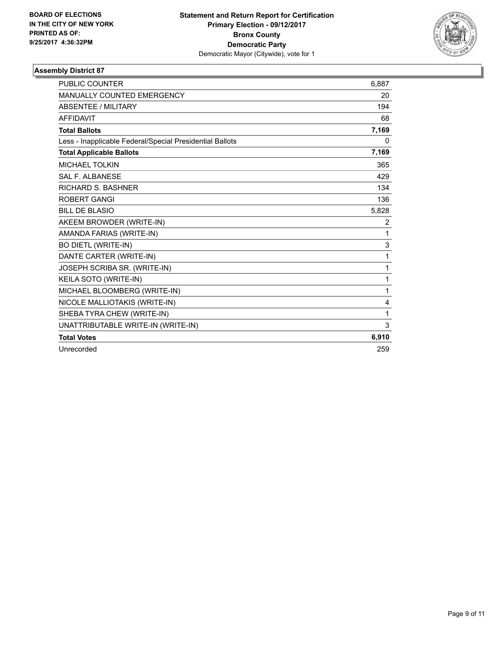

| <b>PUBLIC COUNTER</b>                                    | 6.887 |
|----------------------------------------------------------|-------|
| <b>MANUALLY COUNTED EMERGENCY</b>                        | 20    |
| <b>ABSENTEE / MILITARY</b>                               | 194   |
| <b>AFFIDAVIT</b>                                         | 68    |
| <b>Total Ballots</b>                                     | 7,169 |
| Less - Inapplicable Federal/Special Presidential Ballots | 0     |
| <b>Total Applicable Ballots</b>                          | 7,169 |
| <b>MICHAEL TOLKIN</b>                                    | 365   |
| <b>SAL F. ALBANESE</b>                                   | 429   |
| <b>RICHARD S. BASHNER</b>                                | 134   |
| <b>ROBERT GANGI</b>                                      | 136   |
| BILL DE BLASIO                                           | 5,828 |
| AKEEM BROWDER (WRITE-IN)                                 | 2     |
| AMANDA FARIAS (WRITE-IN)                                 | 1     |
| <b>BO DIETL (WRITE-IN)</b>                               | 3     |
| DANTE CARTER (WRITE-IN)                                  | 1     |
| JOSEPH SCRIBA SR. (WRITE-IN)                             | 1     |
| KEILA SOTO (WRITE-IN)                                    | 1     |
| MICHAEL BLOOMBERG (WRITE-IN)                             | 1     |
| NICOLE MALLIOTAKIS (WRITE-IN)                            | 4     |
| SHEBA TYRA CHEW (WRITE-IN)                               | 1     |
| UNATTRIBUTABLE WRITE-IN (WRITE-IN)                       | 3     |
| <b>Total Votes</b>                                       | 6,910 |
| Unrecorded                                               | 259   |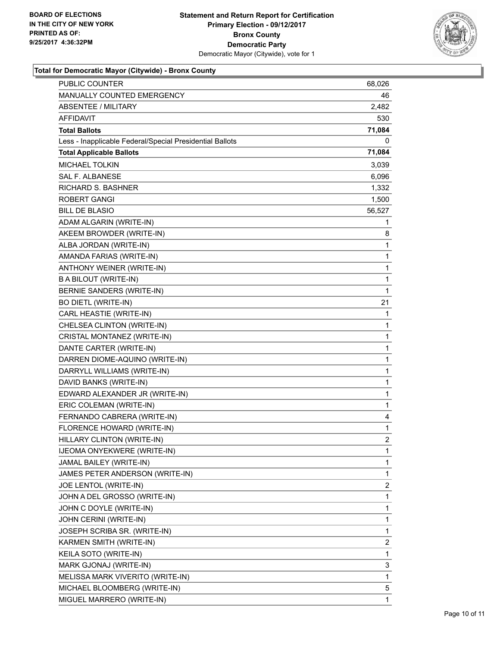

#### **Total for Democratic Mayor (Citywide) - Bronx County**

| <b>PUBLIC COUNTER</b>                                    | 68,026 |
|----------------------------------------------------------|--------|
| MANUALLY COUNTED EMERGENCY                               | 46     |
| <b>ABSENTEE / MILITARY</b>                               | 2,482  |
| AFFIDAVIT                                                | 530    |
| <b>Total Ballots</b>                                     | 71,084 |
| Less - Inapplicable Federal/Special Presidential Ballots | 0      |
| <b>Total Applicable Ballots</b>                          | 71,084 |
| <b>MICHAEL TOLKIN</b>                                    | 3,039  |
| <b>SAL F. ALBANESE</b>                                   | 6,096  |
| <b>RICHARD S. BASHNER</b>                                | 1,332  |
| <b>ROBERT GANGI</b>                                      | 1,500  |
| <b>BILL DE BLASIO</b>                                    | 56,527 |
| ADAM ALGARIN (WRITE-IN)                                  | 1      |
| AKEEM BROWDER (WRITE-IN)                                 | 8      |
| ALBA JORDAN (WRITE-IN)                                   | 1      |
| AMANDA FARIAS (WRITE-IN)                                 | 1      |
| ANTHONY WEINER (WRITE-IN)                                | 1      |
| <b>BABILOUT (WRITE-IN)</b>                               | 1      |
| BERNIE SANDERS (WRITE-IN)                                | 1      |
| <b>BO DIETL (WRITE-IN)</b>                               | 21     |
| CARL HEASTIE (WRITE-IN)                                  | 1      |
| CHELSEA CLINTON (WRITE-IN)                               | 1      |
| CRISTAL MONTANEZ (WRITE-IN)                              | 1      |
| DANTE CARTER (WRITE-IN)                                  | 1      |
| DARREN DIOME-AQUINO (WRITE-IN)                           | 1      |
| DARRYLL WILLIAMS (WRITE-IN)                              | 1      |
| DAVID BANKS (WRITE-IN)                                   | 1      |
| EDWARD ALEXANDER JR (WRITE-IN)                           | 1      |
| ERIC COLEMAN (WRITE-IN)                                  | 1      |
| FERNANDO CABRERA (WRITE-IN)                              | 4      |
| FLORENCE HOWARD (WRITE-IN)                               | 1      |
| HILLARY CLINTON (WRITE-IN)                               | 2      |
| <b>IJEOMA ONYEKWERE (WRITE-IN)</b>                       | 1      |
| JAMAL BAILEY (WRITE-IN)                                  | 1      |
| JAMES PETER ANDERSON (WRITE-IN)                          | 1      |
| JOE LENTOL (WRITE-IN)                                    | 2      |
| JOHN A DEL GROSSO (WRITE-IN)                             | 1      |
| JOHN C DOYLE (WRITE-IN)                                  | 1      |
| JOHN CERINI (WRITE-IN)                                   | 1      |
| JOSEPH SCRIBA SR. (WRITE-IN)                             | 1      |
| KARMEN SMITH (WRITE-IN)                                  | 2      |
| KEILA SOTO (WRITE-IN)                                    | 1      |
| MARK GJONAJ (WRITE-IN)                                   | 3      |
| MELISSA MARK VIVERITO (WRITE-IN)                         | 1      |
| MICHAEL BLOOMBERG (WRITE-IN)                             | 5      |
| MIGUEL MARRERO (WRITE-IN)                                | 1      |